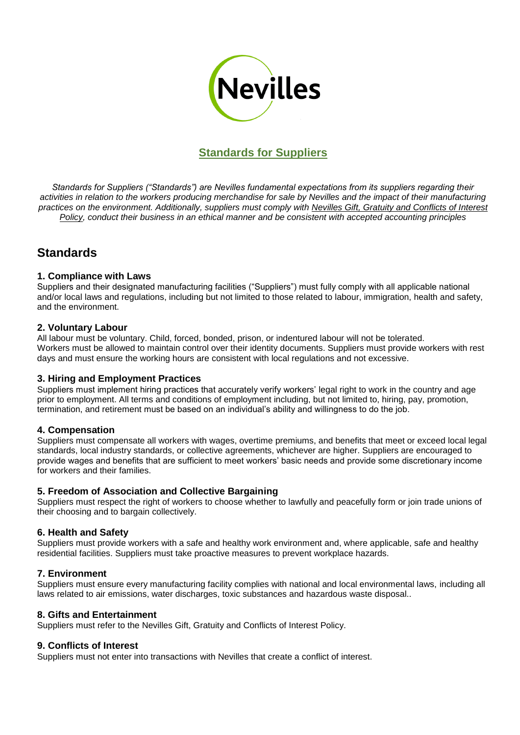

# **Standards for Suppliers**

*Standards for Suppliers ("Standards") are Nevilles fundamental expectations from its suppliers regarding their*  activities in relation to the workers producing merchandise for sale by Nevilles and the impact of their manufacturing *practices on the environment. Additionally, suppliers must comply with Nevilles Gift, Gratuity and Conflicts of Interest Policy, conduct their business in an ethical manner and be consistent with accepted accounting principles*

# **Standards**

### **1. Compliance with Laws**

Suppliers and their designated manufacturing facilities ("Suppliers") must fully comply with all applicable national and/or local laws and regulations, including but not limited to those related to labour, immigration, health and safety, and the environment.

### **2. Voluntary Labour**

All labour must be voluntary. Child, forced, bonded, prison, or indentured labour will not be tolerated. Workers must be allowed to maintain control over their identity documents. Suppliers must provide workers with rest days and must ensure the working hours are consistent with local regulations and not excessive.

## **3. Hiring and Employment Practices**

Suppliers must implement hiring practices that accurately verify workers' legal right to work in the country and age prior to employment. All terms and conditions of employment including, but not limited to, hiring, pay, promotion, termination, and retirement must be based on an individual's ability and willingness to do the job.

#### **4. Compensation**

Suppliers must compensate all workers with wages, overtime premiums, and benefits that meet or exceed local legal standards, local industry standards, or collective agreements, whichever are higher. Suppliers are encouraged to provide wages and benefits that are sufficient to meet workers' basic needs and provide some discretionary income for workers and their families.

#### **5. Freedom of Association and Collective Bargaining**

Suppliers must respect the right of workers to choose whether to lawfully and peacefully form or join trade unions of their choosing and to bargain collectively.

#### **6. Health and Safety**

Suppliers must provide workers with a safe and healthy work environment and, where applicable, safe and healthy residential facilities. Suppliers must take proactive measures to prevent workplace hazards.

## **7. Environment**

Suppliers must ensure every manufacturing facility complies with national and local environmental laws, including all laws related to air emissions, water discharges, toxic substances and hazardous waste disposal..

#### **8. Gifts and Entertainment**

Suppliers must refer to the Nevilles Gift, Gratuity and Conflicts of Interest Policy.

#### **9. Conflicts of Interest**

Suppliers must not enter into transactions with Nevilles that create a conflict of interest.